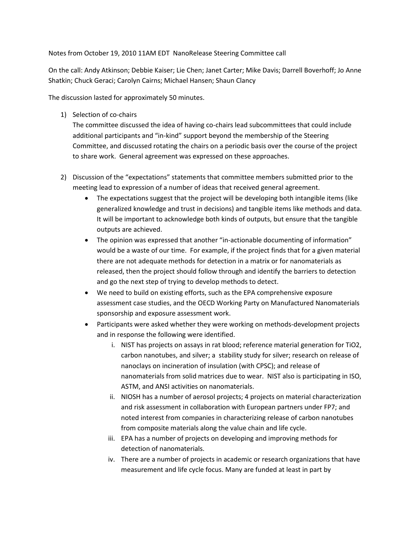Notes from October 19, 2010 11AM EDT NanoRelease Steering Committee call

On the call: Andy Atkinson; Debbie Kaiser; Lie Chen; Janet Carter; Mike Davis; Darrell Boverhoff; Jo Anne Shatkin; Chuck Geraci; Carolyn Cairns; Michael Hansen; Shaun Clancy

The discussion lasted for approximately 50 minutes.

1) Selection of co-chairs

The committee discussed the idea of having co-chairs lead subcommittees that could include additional participants and "in-kind" support beyond the membership of the Steering Committee, and discussed rotating the chairs on a periodic basis over the course of the project to share work. General agreement was expressed on these approaches.

- 2) Discussion of the "expectations" statements that committee members submitted prior to the meeting lead to expression of a number of ideas that received general agreement.
	- The expectations suggest that the project will be developing both intangible items (like generalized knowledge and trust in decisions) and tangible items like methods and data. It will be important to acknowledge both kinds of outputs, but ensure that the tangible outputs are achieved.
	- The opinion was expressed that another "in-actionable documenting of information" would be a waste of our time. For example, if the project finds that for a given material there are not adequate methods for detection in a matrix or for nanomaterials as released, then the project should follow through and identify the barriers to detection and go the next step of trying to develop methods to detect.
	- We need to build on existing efforts, such as the EPA comprehensive exposure assessment case studies, and the OECD Working Party on Manufactured Nanomaterials sponsorship and exposure assessment work.
	- Participants were asked whether they were working on methods-development projects and in response the following were identified.
		- i. NIST has projects on assays in rat blood; reference material generation for TiO2, carbon nanotubes, and silver; a stability study for silver; research on release of nanoclays on incineration of insulation (with CPSC); and release of nanomaterials from solid matrices due to wear. NIST also is participating in ISO, ASTM, and ANSI activities on nanomaterials.
		- ii. NIOSH has a number of aerosol projects; 4 projects on material characterization and risk assessment in collaboration with European partners under FP7; and noted interest from companies in characterizing release of carbon nanotubes from composite materials along the value chain and life cycle.
		- iii. EPA has a number of projects on developing and improving methods for detection of nanomaterials.
		- iv. There are a number of projects in academic or research organizations that have measurement and life cycle focus. Many are funded at least in part by